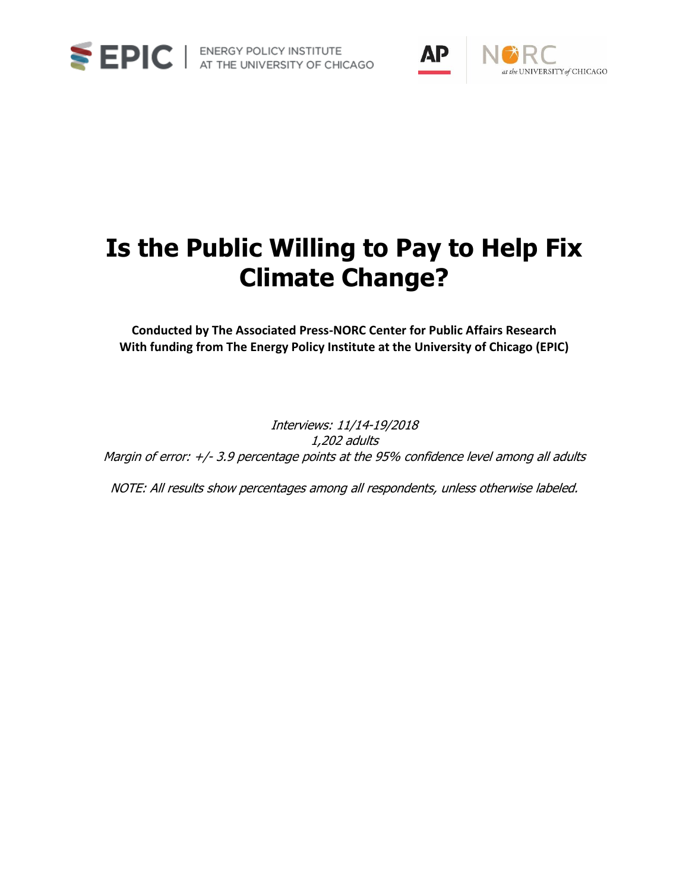



# **Is the Public Willing to Pay to Help Fix Climate Change?**

**Conducted by The Associated Press-NORC Center for Public Affairs Research With funding from The Energy Policy Institute at the University of Chicago (EPIC)**

Interviews: 11/14-19/2018 1,202 adults Margin of error: +/- 3.9 percentage points at the 95% confidence level among all adults

NOTE: All results show percentages among all respondents, unless otherwise labeled.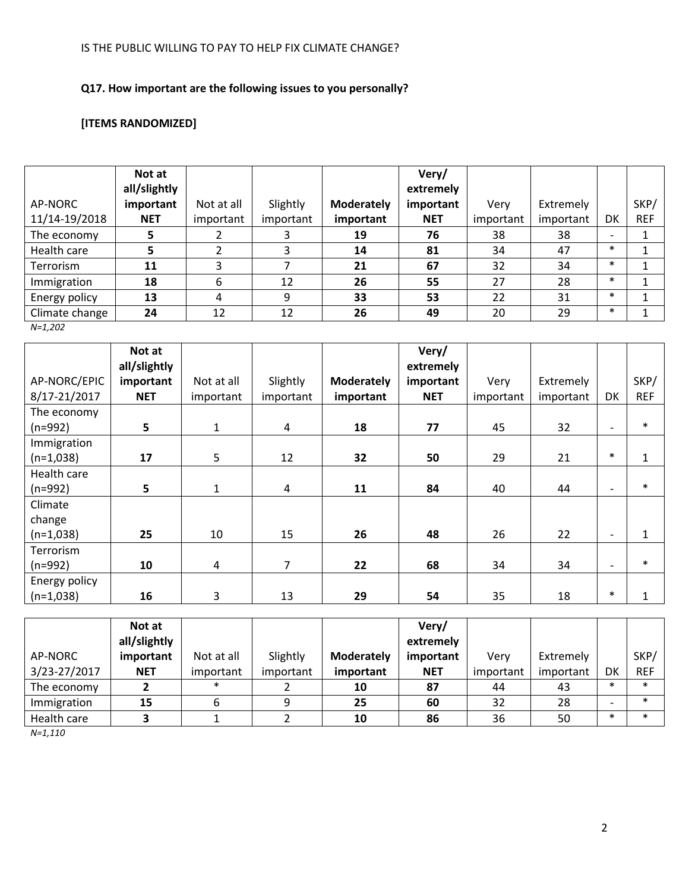# **Q17. How important are the following issues to you personally?**

# **[ITEMS RANDOMIZED]**

|                | Not at       |            |           |                   | Very/      |           |           |                          |            |
|----------------|--------------|------------|-----------|-------------------|------------|-----------|-----------|--------------------------|------------|
|                | all/slightly |            |           |                   | extremely  |           |           |                          |            |
| AP-NORC        | important    | Not at all | Slightly  | <b>Moderately</b> | important  | Very      | Extremely |                          | SKP/       |
| 11/14-19/2018  | <b>NET</b>   | important  | important | important         | <b>NET</b> | important | important | DK                       | <b>REF</b> |
| The economy    | 5            |            |           | 19                | 76         | 38        | 38        | $\overline{\phantom{a}}$ |            |
| Health care    | 5            |            | 3         | 14                | 81         | 34        | 47        | $\ast$                   |            |
| Terrorism      | 11           | 3          |           | 21                | 67         | 32        | 34        | $\ast$                   |            |
| Immigration    | 18           | 6          | 12        | 26                | 55         | 27        | 28        | $\ast$                   |            |
| Energy policy  | 13           | 4          | 9         | 33                | 53         | 22        | 31        | $\ast$                   |            |
| Climate change | 24           | 12         | 12        | 26                | 49         | 20        | 29        | $\ast$                   |            |

*N=1,202*

|               | Not at<br>all/slightly |              |           |                   | Very/<br>extremely |           |           |                          |              |
|---------------|------------------------|--------------|-----------|-------------------|--------------------|-----------|-----------|--------------------------|--------------|
| AP-NORC/EPIC  | important              | Not at all   | Slightly  | <b>Moderately</b> | important          | Very      | Extremely |                          | SKP/         |
| 8/17-21/2017  | <b>NET</b>             | important    | important | important         | <b>NET</b>         | important | important | DK                       | <b>REF</b>   |
| The economy   |                        |              |           |                   |                    |           |           |                          | $\ast$       |
| $(n=992)$     | 5                      | $\mathbf{1}$ | 4         | 18                | 77                 | 45        | 32        | $\overline{\phantom{a}}$ |              |
| Immigration   |                        |              |           |                   |                    |           |           |                          |              |
| $(n=1,038)$   | 17                     | 5            | 12        | 32                | 50                 | 29        | 21        | $\ast$                   | $\mathbf{1}$ |
| Health care   |                        |              |           |                   |                    |           |           |                          |              |
| $(n=992)$     | 5                      | 1            | 4         | 11                | 84                 | 40        | 44        | $\overline{\phantom{a}}$ | $\ast$       |
| Climate       |                        |              |           |                   |                    |           |           |                          |              |
| change        |                        |              |           |                   |                    |           |           |                          |              |
| $(n=1,038)$   | 25                     | 10           | 15        | 26                | 48                 | 26        | 22        | $\overline{\phantom{0}}$ | $\mathbf{1}$ |
| Terrorism     |                        |              |           |                   |                    |           |           |                          |              |
| $(n=992)$     | 10                     | 4            | 7         | 22                | 68                 | 34        | 34        | $\overline{\phantom{a}}$ | $\ast$       |
| Energy policy |                        |              |           |                   |                    |           |           |                          |              |
| $(n=1,038)$   | 16                     | 3            | 13        | 29                | 54                 | 35        | 18        | $\ast$                   | $\mathbf{1}$ |

|              | Not at<br>all/slightly |            |           |                   | Very/<br>extremely |           |           |        |            |
|--------------|------------------------|------------|-----------|-------------------|--------------------|-----------|-----------|--------|------------|
| AP-NORC      | important              | Not at all | Slightly  | <b>Moderately</b> | important          | Verv      | Extremely |        | SKP/       |
| 3/23-27/2017 | <b>NET</b>             | important  | important | <i>important</i>  | <b>NET</b>         | important | important | DK     | <b>REF</b> |
| The economy  |                        | $\ast$     |           | 10                | 87                 | 44        | 43        | *      | ∗          |
| Immigration  | 15                     | ь          | 9         | 25                | 60                 | 32        | 28        |        | $\ast$     |
| Health care  |                        |            |           | 10                | 86                 | 36        | 50        | $\ast$ | ×          |

*N=1,110*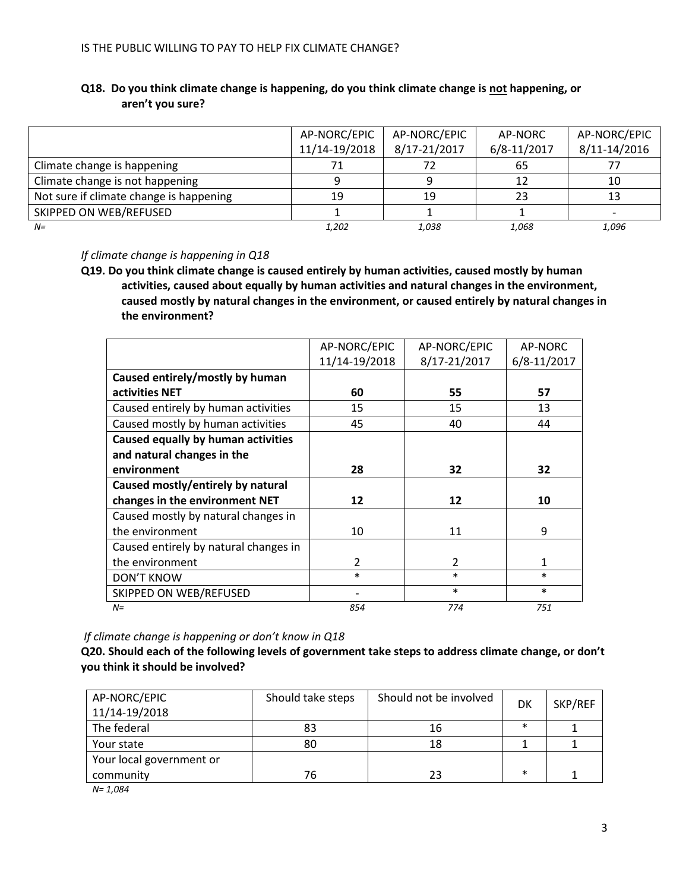|                                         | AP-NORC/EPIC  | AP-NORC/EPIC | AP-NORC     | AP-NORC/EPIC |
|-----------------------------------------|---------------|--------------|-------------|--------------|
|                                         | 11/14-19/2018 | 8/17-21/2017 | 6/8-11/2017 | 8/11-14/2016 |
| Climate change is happening             | 71            |              | 65          |              |
| Climate change is not happening         |               |              | 12          | 10           |
| Not sure if climate change is happening | 19            | 19           | 23          | 13           |
| SKIPPED ON WEB/REFUSED                  |               |              |             |              |
| $N=$                                    | 1,202         | 1,038        | 1,068       | 1,096        |

# **Q18. Do you think climate change is happening, do you think climate change is not happening, or aren't you sure?**

*If climate change is happening in Q18*

**Q19. Do you think climate change is caused entirely by human activities, caused mostly by human activities, caused about equally by human activities and natural changes in the environment, caused mostly by natural changes in the environment, or caused entirely by natural changes in the environment?**

|                                           | AP-NORC/EPIC   | AP-NORC/EPIC  | AP-NORC      |
|-------------------------------------------|----------------|---------------|--------------|
|                                           | 11/14-19/2018  | 8/17-21/2017  | 6/8-11/2017  |
| Caused entirely/mostly by human           |                |               |              |
| activities NET                            | 60             | 55            | 57           |
| Caused entirely by human activities       | 15             | 15            | 13           |
| Caused mostly by human activities         | 45             | 40            | 44           |
| <b>Caused equally by human activities</b> |                |               |              |
| and natural changes in the                |                |               |              |
| environment                               | 28             | 32            | 32           |
| Caused mostly/entirely by natural         |                |               |              |
| changes in the environment NET            | 12             | 12            | 10           |
| Caused mostly by natural changes in       |                |               |              |
| the environment                           | 10             | 11            | 9            |
| Caused entirely by natural changes in     |                |               |              |
| the environment                           | $\mathfrak{p}$ | $\mathcal{P}$ | $\mathbf{1}$ |
| <b>DON'T KNOW</b>                         | $\ast$         | $\ast$        | $\ast$       |
| SKIPPED ON WEB/REFUSED                    |                | $\ast$        | $\ast$       |
| $N =$                                     | 854            | 774           | 751          |

*If climate change is happening or don't know in Q18*

**Q20. Should each of the following levels of government take steps to address climate change, or don't you think it should be involved?**

| AP-NORC/EPIC<br>11/14-19/2018 | Should take steps | Should not be involved | DK     | SKP/REF |
|-------------------------------|-------------------|------------------------|--------|---------|
| The federal                   | 83                | 16                     | $\ast$ |         |
| Your state                    | 80                | 18                     |        |         |
| Your local government or      |                   |                        |        |         |
| community                     | 76                | 23                     | $\ast$ |         |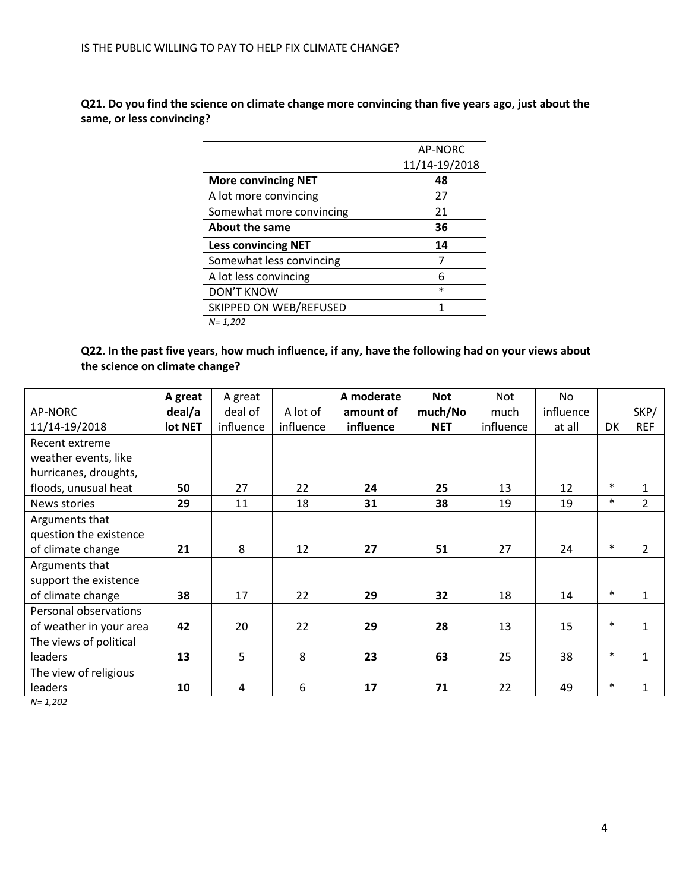**Q21. Do you find the science on climate change more convincing than five years ago, just about the same, or less convincing?** 

|                            | <b>AP-NORC</b> |
|----------------------------|----------------|
|                            | 11/14-19/2018  |
| <b>More convincing NET</b> | 48             |
| A lot more convincing      | 27             |
| Somewhat more convincing   | 21             |
| About the same             | 36             |
| <b>Less convincing NET</b> | 14             |
| Somewhat less convincing   |                |
| A lot less convincing      | 6              |
| <b>DON'T KNOW</b>          | $\ast$         |
| SKIPPED ON WEB/REFUSED     | 1              |
| $N = 1,202$                |                |

**Q22. In the past five years, how much influence, if any, have the following had on your views about the science on climate change?** 

|                         | A great | A great   |           | A moderate | <b>Not</b> | Not       | No        |        |                |
|-------------------------|---------|-----------|-----------|------------|------------|-----------|-----------|--------|----------------|
| AP-NORC                 | deal/a  | deal of   | A lot of  | amount of  | much/No    | much      | influence |        | SKP/           |
| 11/14-19/2018           | lot NET | influence | influence | influence  | <b>NET</b> | influence | at all    | DK     | <b>REF</b>     |
| Recent extreme          |         |           |           |            |            |           |           |        |                |
| weather events, like    |         |           |           |            |            |           |           |        |                |
| hurricanes, droughts,   |         |           |           |            |            |           |           |        |                |
| floods, unusual heat    | 50      | 27        | 22        | 24         | 25         | 13        | 12        | $\ast$ | $\mathbf{1}$   |
| News stories            | 29      | 11        | 18        | 31         | 38         | 19        | 19        | $\ast$ | $\overline{2}$ |
| Arguments that          |         |           |           |            |            |           |           |        |                |
| question the existence  |         |           |           |            |            |           |           |        |                |
| of climate change       | 21      | 8         | 12        | 27         | 51         | 27        | 24        | $\ast$ | $\mathcal{P}$  |
| Arguments that          |         |           |           |            |            |           |           |        |                |
| support the existence   |         |           |           |            |            |           |           |        |                |
| of climate change       | 38      | 17        | 22        | 29         | 32         | 18        | 14        | $\ast$ | $\mathbf{1}$   |
| Personal observations   |         |           |           |            |            |           |           |        |                |
| of weather in your area | 42      | 20        | 22        | 29         | 28         | 13        | 15        | $\ast$ | $\mathbf{1}$   |
| The views of political  |         |           |           |            |            |           |           |        |                |
| leaders                 | 13      | 5         | 8         | 23         | 63         | 25        | 38        | $\ast$ | $\mathbf{1}$   |
| The view of religious   |         |           |           |            |            |           |           |        |                |
| leaders                 | 10      | 4         | 6         | 17         | 71         | 22        | 49        | $\ast$ | $\mathbf{1}$   |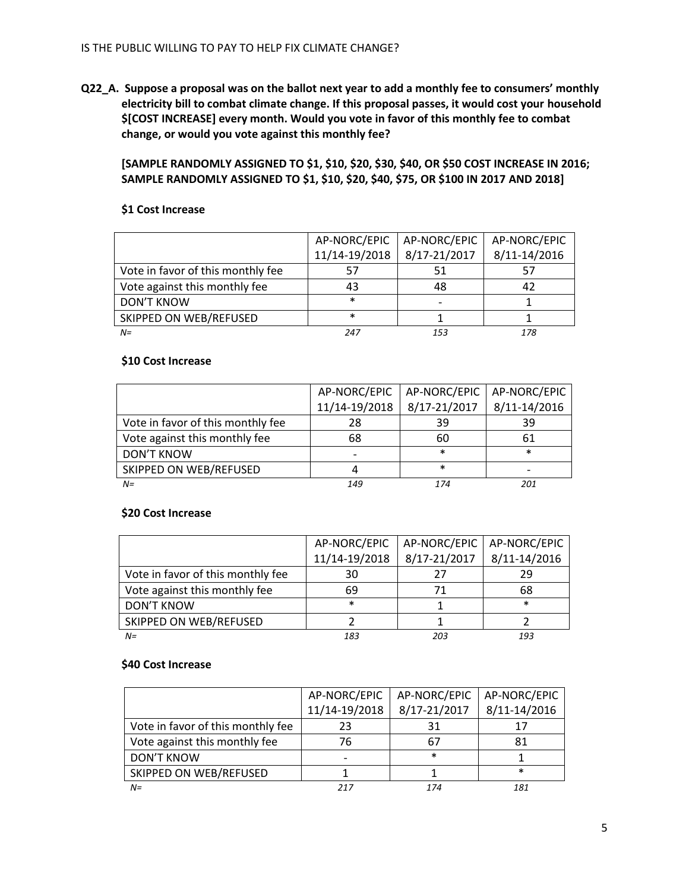**Q22\_A. Suppose a proposal was on the ballot next year to add a monthly fee to consumers' monthly electricity bill to combat climate change. If this proposal passes, it would cost your household \$[COST INCREASE] every month. Would you vote in favor of this monthly fee to combat change, or would you vote against this monthly fee?**

**[SAMPLE RANDOMLY ASSIGNED TO \$1, \$10, \$20, \$30, \$40, OR \$50 COST INCREASE IN 2016; SAMPLE RANDOMLY ASSIGNED TO \$1, \$10, \$20, \$40, \$75, OR \$100 IN 2017 AND 2018]**

## **\$1 Cost Increase**

|                                   | AP-NORC/EPIC  | AP-NORC/EPIC | AP-NORC/EPIC |
|-----------------------------------|---------------|--------------|--------------|
|                                   | 11/14-19/2018 | 8/17-21/2017 | 8/11-14/2016 |
| Vote in favor of this monthly fee | 57            | 51           |              |
| Vote against this monthly fee     | 43            | 48           |              |
| <b>DON'T KNOW</b>                 | $\ast$        |              |              |
| SKIPPED ON WEB/REFUSED            | $\ast$        |              |              |
| $N =$                             | 247           | 153          |              |

## **\$10 Cost Increase**

|                                   | AP-NORC/EPIC  | AP-NORC/EPIC | AP-NORC/EPIC |
|-----------------------------------|---------------|--------------|--------------|
|                                   | 11/14-19/2018 | 8/17-21/2017 | 8/11-14/2016 |
| Vote in favor of this monthly fee | 28            | 39           | 39           |
| Vote against this monthly fee     | 68            | 60           | 61           |
| <b>DON'T KNOW</b>                 |               | $\ast$       | $\ast$       |
| SKIPPED ON WEB/REFUSED            |               | $\ast$       |              |
| $N =$                             | 149           | 174          | 201          |

#### **\$20 Cost Increase**

|                                   | AP-NORC/EPIC  | AP-NORC/EPIC | AP-NORC/EPIC |
|-----------------------------------|---------------|--------------|--------------|
|                                   | 11/14-19/2018 | 8/17-21/2017 | 8/11-14/2016 |
| Vote in favor of this monthly fee | 30            |              | 29           |
| Vote against this monthly fee     | 69            |              | 68           |
| <b>DON'T KNOW</b>                 | $\ast$        |              | $\ast$       |
| SKIPPED ON WEB/REFUSED            |               |              |              |
| $N =$                             | 183           | วกว          | 193          |

#### **\$40 Cost Increase**

|                                   | AP-NORC/EPIC  | AP-NORC/EPIC | AP-NORC/EPIC |
|-----------------------------------|---------------|--------------|--------------|
|                                   | 11/14-19/2018 | 8/17-21/2017 | 8/11-14/2016 |
| Vote in favor of this monthly fee | 23            | 31           |              |
| Vote against this monthly fee     | 76            | 67           | 81           |
| <b>DON'T KNOW</b>                 |               | $\ast$       |              |
| SKIPPED ON WEB/REFUSED            |               |              | *            |
| $N =$                             | 217           | 174          | 181          |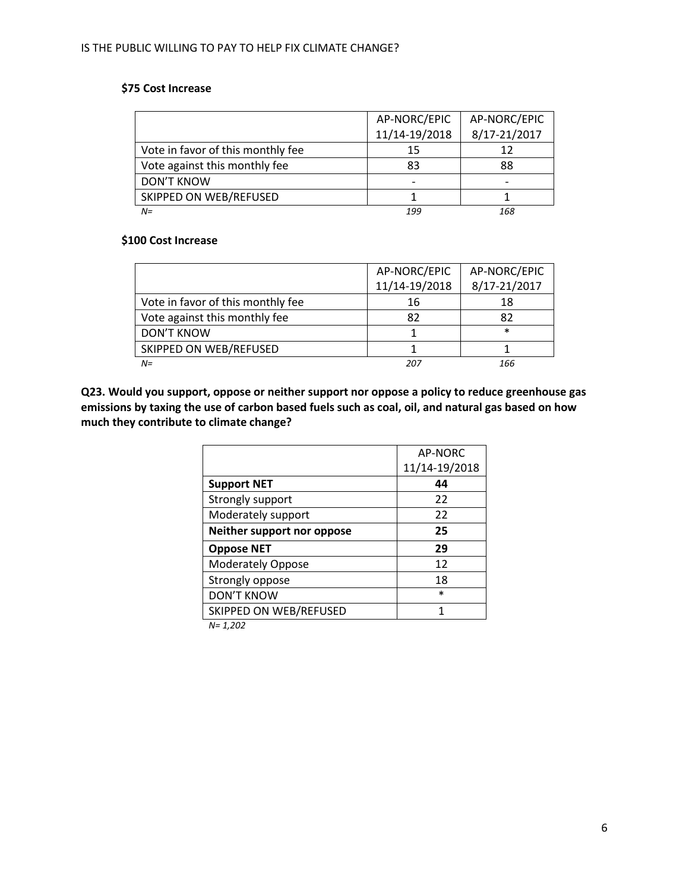# **\$75 Cost Increase**

|                                   | AP-NORC/EPIC  | AP-NORC/EPIC |
|-----------------------------------|---------------|--------------|
|                                   | 11/14-19/2018 | 8/17-21/2017 |
| Vote in favor of this monthly fee | 15            | 12           |
| Vote against this monthly fee     | 83            | 88           |
| <b>DON'T KNOW</b>                 |               |              |
| SKIPPED ON WEB/REFUSED            |               |              |
| $N =$                             | 199           | 168          |

### **\$100 Cost Increase**

|                                   | AP-NORC/EPIC  | AP-NORC/EPIC |
|-----------------------------------|---------------|--------------|
|                                   | 11/14-19/2018 | 8/17-21/2017 |
| Vote in favor of this monthly fee | 16            | 18           |
| Vote against this monthly fee     | 82            | 82           |
| <b>DON'T KNOW</b>                 |               | $\ast$       |
| SKIPPED ON WEB/REFUSED            |               |              |
| $N =$                             | 207           | 166          |

**Q23. Would you support, oppose or neither support nor oppose a policy to reduce greenhouse gas emissions by taxing the use of carbon based fuels such as coal, oil, and natural gas based on how much they contribute to climate change?**

|                            | AP-NORC       |
|----------------------------|---------------|
|                            | 11/14-19/2018 |
| <b>Support NET</b>         | 44            |
| Strongly support           | 22            |
| Moderately support         | 22            |
| Neither support nor oppose | 25            |
| <b>Oppose NET</b>          | 29            |
| Moderately Oppose          | 12            |
| Strongly oppose            | 18            |
| <b>DON'T KNOW</b>          | $\ast$        |
| SKIPPED ON WEB/REFUSED     | 1             |
|                            |               |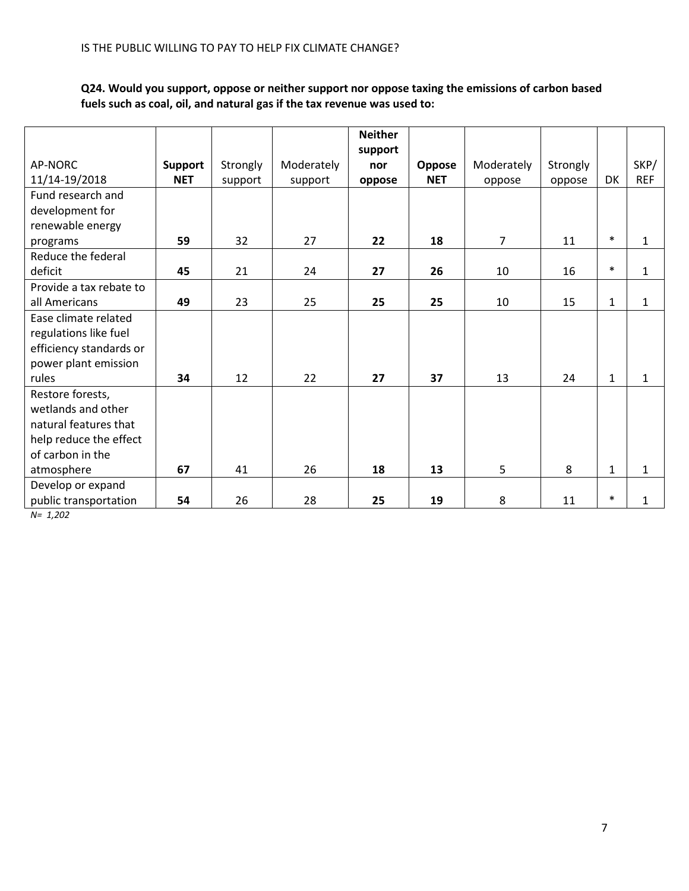# **Q24. Would you support, oppose or neither support nor oppose taxing the emissions of carbon based fuels such as coal, oil, and natural gas if the tax revenue was used to:**

|                         |            |          |            | <b>Neither</b> |            |                |          |              |              |
|-------------------------|------------|----------|------------|----------------|------------|----------------|----------|--------------|--------------|
|                         |            |          |            | support        |            |                |          |              |              |
| AP-NORC                 | Support    | Strongly | Moderately | nor            | Oppose     | Moderately     | Strongly |              | SKP/         |
| 11/14-19/2018           | <b>NET</b> | support  | support    | oppose         | <b>NET</b> | oppose         | oppose   | DK           | <b>REF</b>   |
| Fund research and       |            |          |            |                |            |                |          |              |              |
| development for         |            |          |            |                |            |                |          |              |              |
| renewable energy        |            |          |            |                |            |                |          |              |              |
| programs                | 59         | 32       | 27         | 22             | 18         | $\overline{7}$ | 11       | $\ast$       | $\mathbf{1}$ |
| Reduce the federal      |            |          |            |                |            |                |          |              |              |
| deficit                 | 45         | 21       | 24         | 27             | 26         | 10             | 16       | $\ast$       | $\mathbf{1}$ |
| Provide a tax rebate to |            |          |            |                |            |                |          |              |              |
| all Americans           | 49         | 23       | 25         | 25             | 25         | 10             | 15       | $\mathbf{1}$ | $\mathbf{1}$ |
| Ease climate related    |            |          |            |                |            |                |          |              |              |
| regulations like fuel   |            |          |            |                |            |                |          |              |              |
| efficiency standards or |            |          |            |                |            |                |          |              |              |
| power plant emission    |            |          |            |                |            |                |          |              |              |
| rules                   | 34         | 12       | 22         | 27             | 37         | 13             | 24       | $\mathbf{1}$ | $\mathbf{1}$ |
| Restore forests,        |            |          |            |                |            |                |          |              |              |
| wetlands and other      |            |          |            |                |            |                |          |              |              |
| natural features that   |            |          |            |                |            |                |          |              |              |
| help reduce the effect  |            |          |            |                |            |                |          |              |              |
| of carbon in the        |            |          |            |                |            |                |          |              |              |
| atmosphere              | 67         | 41       | 26         | 18             | 13         | 5              | 8        | $\mathbf{1}$ | $\mathbf{1}$ |
| Develop or expand       |            |          |            |                |            |                |          |              |              |
| public transportation   | 54         | 26       | 28         | 25             | 19         | 8              | 11       | $\ast$       | $\mathbf{1}$ |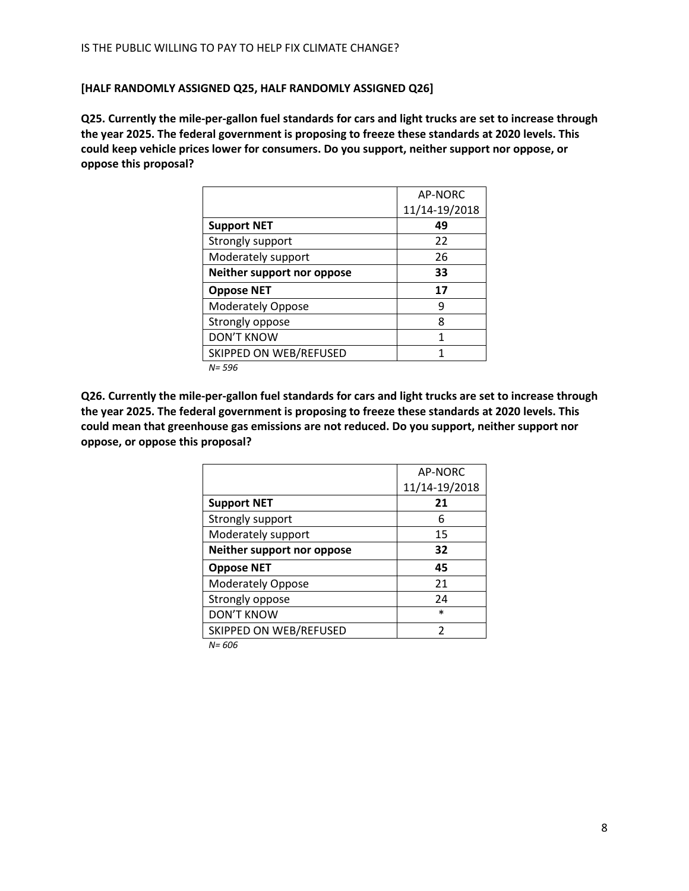## **[HALF RANDOMLY ASSIGNED Q25, HALF RANDOMLY ASSIGNED Q26]**

**Q25. Currently the mile-per-gallon fuel standards for cars and light trucks are set to increase through the year 2025. The federal government is proposing to freeze these standards at 2020 levels. This could keep vehicle prices lower for consumers. Do you support, neither support nor oppose, or oppose this proposal?** 

|                            | AP-NORC       |
|----------------------------|---------------|
|                            | 11/14-19/2018 |
| <b>Support NET</b>         | 49            |
| Strongly support           | 22            |
| Moderately support         | 26            |
| Neither support nor oppose | 33            |
| <b>Oppose NET</b>          | 17            |
| <b>Moderately Oppose</b>   | q             |
| Strongly oppose            | 8             |
| <b>DON'T KNOW</b>          | 1             |
| SKIPPED ON WEB/REFUSED     |               |
| $N = 596$                  |               |

**Q26. Currently the mile-per-gallon fuel standards for cars and light trucks are set to increase through the year 2025. The federal government is proposing to freeze these standards at 2020 levels. This could mean that greenhouse gas emissions are not reduced. Do you support, neither support nor oppose, or oppose this proposal?**

|                            | AP-NORC       |
|----------------------------|---------------|
|                            | 11/14-19/2018 |
| <b>Support NET</b>         | 21            |
| Strongly support           | 6             |
| Moderately support         | 15            |
| Neither support nor oppose | 32            |
| <b>Oppose NET</b>          | 45            |
| <b>Moderately Oppose</b>   | 21            |
| Strongly oppose            | 24            |
| <b>DON'T KNOW</b>          | $\ast$        |
| SKIPPED ON WEB/REFUSED     | 2             |
|                            |               |

*N= 606*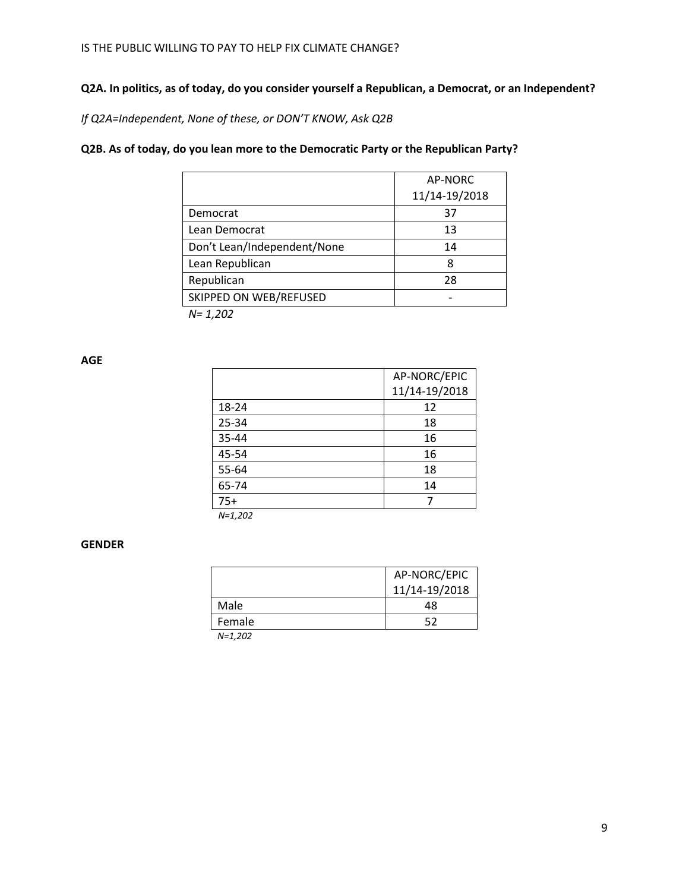# **Q2A. In politics, as of today, do you consider yourself a Republican, a Democrat, or an Independent?**

*If Q2A=Independent, None of these, or DON'T KNOW, Ask Q2B*

## **Q2B. As of today, do you lean more to the Democratic Party or the Republican Party?**

|                             | AP-NORC       |
|-----------------------------|---------------|
|                             | 11/14-19/2018 |
| Democrat                    | 37            |
| Lean Democrat               | 13            |
| Don't Lean/Independent/None | 14            |
| Lean Republican             | ጸ             |
| Republican                  | 28            |
| SKIPPED ON WEB/REFUSED      |               |
| $N = 1,202$                 |               |

**AGE**

|           | AP-NORC/EPIC  |
|-----------|---------------|
|           | 11/14-19/2018 |
| 18-24     | 12            |
| 25-34     | 18            |
| 35-44     | 16            |
| 45-54     | 16            |
| 55-64     | 18            |
| 65-74     | 14            |
| $75+$     |               |
| $N=1,202$ |               |

**GENDER**

|            | AP-NORC/EPIC  |
|------------|---------------|
|            | 11/14-19/2018 |
| Male       | 48            |
| Female     | 52            |
| . <b>.</b> |               |

*N=1,202*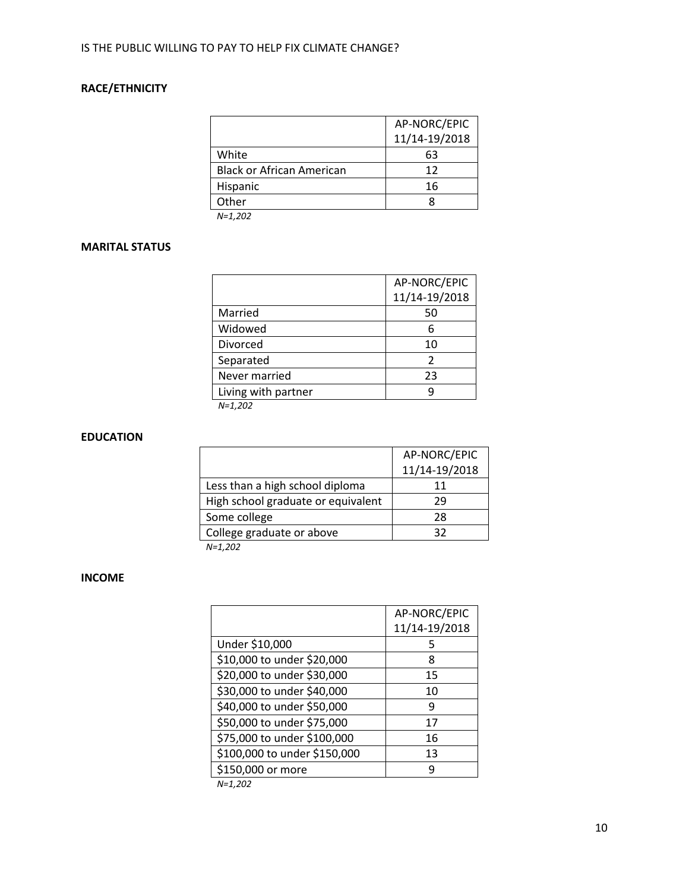# **RACE/ETHNICITY**

|                                  | AP-NORC/EPIC  |
|----------------------------------|---------------|
|                                  | 11/14-19/2018 |
| White                            | 63            |
| <b>Black or African American</b> | 12            |
| Hispanic                         | 16            |
| Other                            |               |
| NI-1 202                         |               |

*N=1,202*

## **MARITAL STATUS**

|                     | AP-NORC/EPIC  |
|---------------------|---------------|
|                     | 11/14-19/2018 |
| Married             | 50            |
| Widowed             | 6             |
| Divorced            | 10            |
| Separated           | 2             |
| Never married       | 23            |
| Living with partner | q             |
| $N = 1, 202$        |               |

*N=1,202*

### **EDUCATION**

|                                    | AP-NORC/EPIC  |
|------------------------------------|---------------|
|                                    | 11/14-19/2018 |
| Less than a high school diploma    | 11            |
| High school graduate or equivalent | 29            |
| Some college                       | 28            |
| College graduate or above          | 32            |
| $N=1,202$                          |               |

**INCOME**

| AP-NORC/EPIC  |
|---------------|
|               |
| 11/14-19/2018 |
|               |
| 8             |
| 15            |
| 10            |
|               |
| 17            |
| 16            |
| 13            |
|               |
| 5<br>q        |

*N=1,202*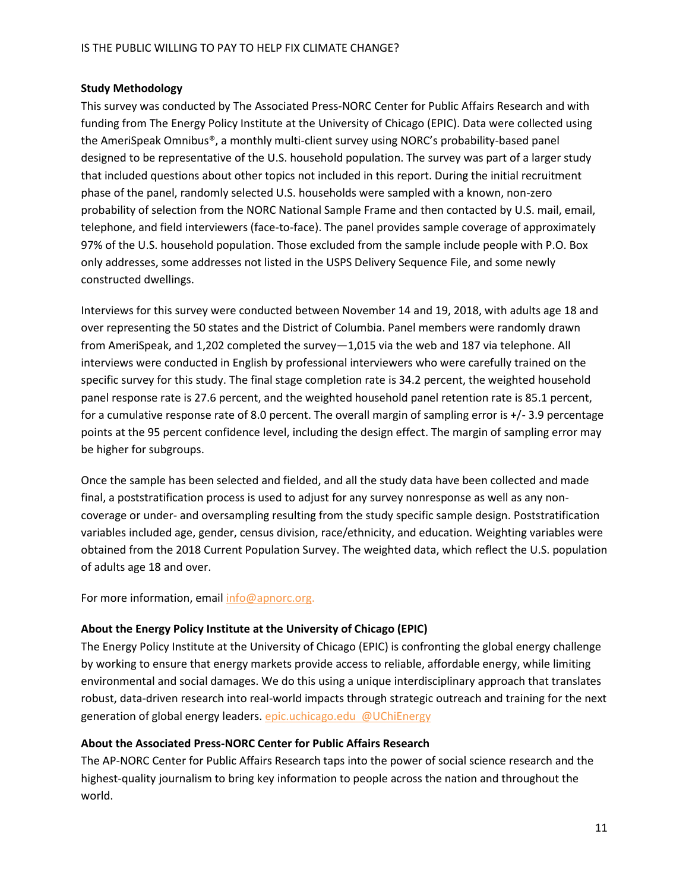## **Study Methodology**

This survey was conducted by The Associated Press-NORC Center for Public Affairs Research and with funding from The Energy Policy Institute at the University of Chicago (EPIC). Data were collected using the AmeriSpeak Omnibus®, a monthly multi-client survey using NORC's probability-based panel designed to be representative of the U.S. household population. The survey was part of a larger study that included questions about other topics not included in this report. During the initial recruitment phase of the panel, randomly selected U.S. households were sampled with a known, non-zero probability of selection from the NORC National Sample Frame and then contacted by U.S. mail, email, telephone, and field interviewers (face-to-face). The panel provides sample coverage of approximately 97% of the U.S. household population. Those excluded from the sample include people with P.O. Box only addresses, some addresses not listed in the USPS Delivery Sequence File, and some newly constructed dwellings.

Interviews for this survey were conducted between November 14 and 19, 2018, with adults age 18 and over representing the 50 states and the District of Columbia. Panel members were randomly drawn from AmeriSpeak, and 1,202 completed the survey—1,015 via the web and 187 via telephone. All interviews were conducted in English by professional interviewers who were carefully trained on the specific survey for this study. The final stage completion rate is 34.2 percent, the weighted household panel response rate is 27.6 percent, and the weighted household panel retention rate is 85.1 percent, for a cumulative response rate of 8.0 percent. The overall margin of sampling error is +/- 3.9 percentage points at the 95 percent confidence level, including the design effect. The margin of sampling error may be higher for subgroups.

Once the sample has been selected and fielded, and all the study data have been collected and made final, a poststratification process is used to adjust for any survey nonresponse as well as any noncoverage or under- and oversampling resulting from the study specific sample design. Poststratification variables included age, gender, census division, race/ethnicity, and education. Weighting variables were obtained from the 2018 Current Population Survey. The weighted data, which reflect the U.S. population of adults age 18 and over.

For more information, email [info@apnorc.org.](mailto:info@apnorc.org)

## **About the Energy Policy Institute at the University of Chicago (EPIC)**

The Energy Policy Institute at the University of Chicago (EPIC) is confronting the global energy challenge by working to ensure that energy markets provide access to reliable, affordable energy, while limiting environmental and social damages. We do this using a unique interdisciplinary approach that translates robust, data-driven research into real-world impacts through strategic outreach and training for the next generation of global energy leaders. [epic.uchicago.edu](https://epic.uchicago.edu/) [@UChiEnergy](https://twitter.com/UChiEnergy)

## **About the Associated Press-NORC Center for Public Affairs Research**

The AP-NORC Center for Public Affairs Research taps into the power of social science research and the highest-quality journalism to bring key information to people across the nation and throughout the world.